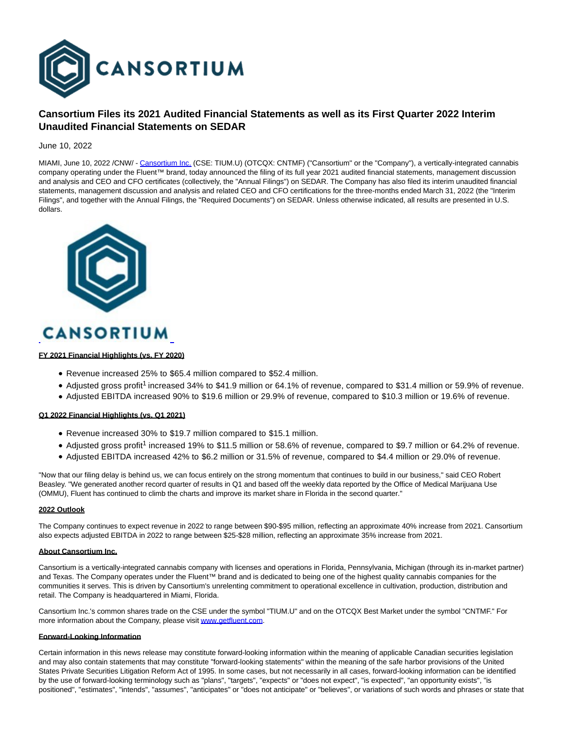

# **Cansortium Files its 2021 Audited Financial Statements as well as its First Quarter 2022 Interim Unaudited Financial Statements on SEDAR**

June 10, 2022

MIAMI, June 10, 2022 /CNW/ - [Cansortium Inc. \(](https://c212.net/c/link/?t=0&l=en&o=3563033-1&h=903774604&u=http%3A%2F%2Fwww.getfluent.com%2F&a=Cansortium+Inc.)CSE: TIUM.U) (OTCQX: CNTMF) ("Cansortium" or the "Company"), a vertically-integrated cannabis company operating under the Fluent™ brand, today announced the filing of its full year 2021 audited financial statements, management discussion and analysis and CEO and CFO certificates (collectively, the "Annual Filings") on SEDAR. The Company has also filed its interim unaudited financial statements, management discussion and analysis and related CEO and CFO certifications for the three-months ended March 31, 2022 (the "Interim Filings", and together with the Annual Filings, the "Required Documents") on SEDAR. Unless otherwise indicated, all results are presented in U.S. dollars.



# **CANSORTIUM**

### **FY 2021 Financial Highlights (vs. FY 2020)**

- Revenue increased 25% to \$65.4 million compared to \$52.4 million.
- Adjusted gross profit<sup>1</sup> increased 34% to \$41.9 million or 64.1% of revenue, compared to \$31.4 million or 59.9% of revenue.
- Adjusted EBITDA increased 90% to \$19.6 million or 29.9% of revenue, compared to \$10.3 million or 19.6% of revenue.

### **Q1 2022 Financial Highlights (vs. Q1 2021)**

- Revenue increased 30% to \$19.7 million compared to \$15.1 million.
- Adjusted gross profit<sup>1</sup> increased 19% to \$11.5 million or 58.6% of revenue, compared to \$9.7 million or 64.2% of revenue.
- Adjusted EBITDA increased 42% to \$6.2 million or 31.5% of revenue, compared to \$4.4 million or 29.0% of revenue.

"Now that our filing delay is behind us, we can focus entirely on the strong momentum that continues to build in our business," said CEO Robert Beasley. "We generated another record quarter of results in Q1 and based off the weekly data reported by the Office of Medical Marijuana Use (OMMU), Fluent has continued to climb the charts and improve its market share in Florida in the second quarter."

### **2022 Outlook**

The Company continues to expect revenue in 2022 to range between \$90-\$95 million, reflecting an approximate 40% increase from 2021. Cansortium also expects adjusted EBITDA in 2022 to range between \$25-\$28 million, reflecting an approximate 35% increase from 2021.

## **About Cansortium Inc.**

Cansortium is a vertically-integrated cannabis company with licenses and operations in Florida, Pennsylvania, Michigan (through its in-market partner) and Texas. The Company operates under the Fluent™ brand and is dedicated to being one of the highest quality cannabis companies for the communities it serves. This is driven by Cansortium's unrelenting commitment to operational excellence in cultivation, production, distribution and retail. The Company is headquartered in Miami, Florida.

Cansortium Inc.'s common shares trade on the CSE under the symbol "TIUM.U" and on the OTCQX Best Market under the symbol "CNTMF." For more information about the Company, please visi[t www.getfluent.com.](https://c212.net/c/link/?t=0&l=en&o=3563033-1&h=1307015958&u=http%3A%2F%2Fwww.getfluent.com%2F&a=www.getfluent.com)

#### **Forward-Looking Information**

Certain information in this news release may constitute forward-looking information within the meaning of applicable Canadian securities legislation and may also contain statements that may constitute "forward-looking statements" within the meaning of the safe harbor provisions of the United States Private Securities Litigation Reform Act of 1995. In some cases, but not necessarily in all cases, forward-looking information can be identified by the use of forward-looking terminology such as "plans", "targets", "expects" or "does not expect", "is expected", "an opportunity exists", "is positioned", "estimates", "intends", "assumes", "anticipates" or "does not anticipate" or "believes", or variations of such words and phrases or state that